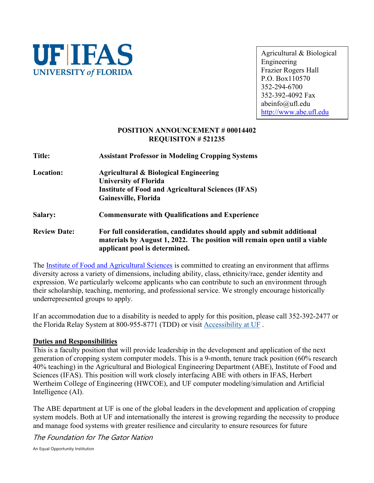

Agricultural & Biological Engineering Frazier Rogers Hall P.O. Box110570 352-294-6700 352-392-4092 Fax abeinfo@ufl.edu [http://www.abe.ufl.edu](http://www.abe.ufl.edu/)

## **POSITION ANNOUNCEMENT # 00014402 REQUISITON # 521235**

**Title: Assistant Professor in Modeling Cropping Systems Location: Agricultural & Biological Engineering University of Florida Institute of Food and Agricultural Sciences (IFAS) Gainesville, Florida Salary: Commensurate with Qualifications and Experience Review Date: For full consideration, candidates should apply and submit additional materials by August 1, 2022. The position will remain open until a viable applicant pool is determined.**

The [Institute of Food and Agricultural Sciences](http://ifas.ufl.edu/) is committed to creating an environment that affirms diversity across a variety of dimensions, including ability, class, ethnicity/race, gender identity and expression. We particularly welcome applicants who can contribute to such an environment through their scholarship, teaching, mentoring, and professional service. We strongly encourage historically underrepresented groups to apply.

If an accommodation due to a disability is needed to apply for this position, please call 352-392-2477 or the Florida Relay System at 800-955-8771 (TDD) or visit [Accessibility at UF](https://hr.ufl.edu/manager-resources/recruitment-staffing/institutional-equity-diversity/ada-and-accessibility-services-for-uf-employees-and-job-applicants/) .

## **Duties and Responsibilities**

This is a faculty position that will provide leadership in the development and application of the next generation of cropping system computer models. This is a 9-month, tenure track position (60% research 40% teaching) in the Agricultural and Biological Engineering Department (ABE), Institute of Food and Sciences (IFAS). This position will work closely interfacing ABE with others in IFAS, Herbert Wertheim College of Engineering (HWCOE), and UF computer modeling/simulation and Artificial Intelligence (AI).

The ABE department at UF is one of the global leaders in the development and application of cropping system models. Both at UF and internationally the interest is growing regarding the necessity to produce and manage food systems with greater resilience and circularity to ensure resources for future

The Foundation for The Gator Nation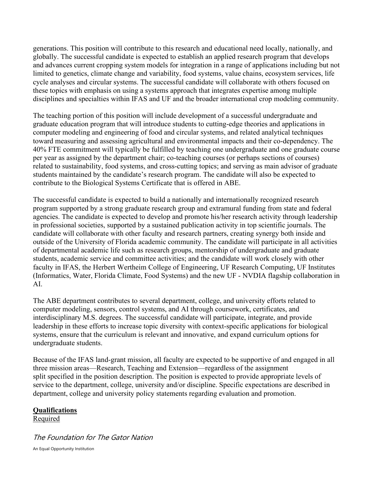generations. This position will contribute to this research and educational need locally, nationally, and globally. The successful candidate is expected to establish an applied research program that develops and advances current cropping system models for integration in a range of applications including but not limited to genetics, climate change and variability, food systems, value chains, ecosystem services, life cycle analyses and circular systems. The successful candidate will collaborate with others focused on these topics with emphasis on using a systems approach that integrates expertise among multiple disciplines and specialties within IFAS and UF and the broader international crop modeling community.

The teaching portion of this position will include development of a successful undergraduate and graduate education program that will introduce students to cutting-edge theories and applications in computer modeling and engineering of food and circular systems, and related analytical techniques toward measuring and assessing agricultural and environmental impacts and their co-dependency. The 40% FTE commitment will typically be fulfilled by teaching one undergraduate and one graduate course per year as assigned by the department chair; co-teaching courses (or perhaps sections of courses) related to sustainability, food systems, and cross-cutting topics; and serving as main advisor of graduate students maintained by the candidate's research program. The candidate will also be expected to contribute to the Biological Systems Certificate that is offered in ABE.

The successful candidate is expected to build a nationally and internationally recognized research program supported by a strong graduate research group and extramural funding from state and federal agencies. The candidate is expected to develop and promote his/her research activity through leadership in professional societies, supported by a sustained publication activity in top scientific journals. The candidate will collaborate with other faculty and research partners, creating synergy both inside and outside of the University of Florida academic community. The candidate will participate in all activities of departmental academic life such as research groups, mentorship of undergraduate and graduate students, academic service and committee activities; and the candidate will work closely with other faculty in IFAS, the Herbert Wertheim College of Engineering, UF Research Computing, UF Institutes (Informatics, Water, Florida Climate, Food Systems) and the new UF - NVDIA flagship collaboration in AI.

The ABE department contributes to several department, college, and university efforts related to computer modeling, sensors, control systems, and AI through coursework, certificates, and interdisciplinary M.S. degrees. The successful candidate will participate, integrate, and provide leadership in these efforts to increase topic diversity with context-specific applications for biological systems, ensure that the curriculum is relevant and innovative, and expand curriculum options for undergraduate students.

Because of the IFAS land-grant mission, all faculty are expected to be supportive of and engaged in all three mission areas—Research, Teaching and Extension—regardless of the assignment split specified in the position description. The position is expected to provide appropriate levels of service to the department, college, university and/or discipline. Specific expectations are described in department, college and university policy statements regarding evaluation and promotion.

## **Qualifications**

Required

# The Foundation for The Gator Nation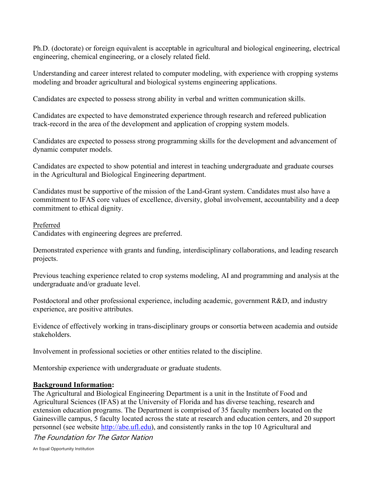Ph.D. (doctorate) or foreign equivalent is acceptable in agricultural and biological engineering, electrical engineering, chemical engineering, or a closely related field.

Understanding and career interest related to computer modeling, with experience with cropping systems modeling and broader agricultural and biological systems engineering applications.

Candidates are expected to possess strong ability in verbal and written communication skills.

Candidates are expected to have demonstrated experience through research and refereed publication track-record in the area of the development and application of cropping system models.

Candidates are expected to possess strong programming skills for the development and advancement of dynamic computer models.

Candidates are expected to show potential and interest in teaching undergraduate and graduate courses in the Agricultural and Biological Engineering department.

Candidates must be supportive of the mission of the Land-Grant system. Candidates must also have a commitment to IFAS core values of excellence, diversity, global involvement, accountability and a deep commitment to ethical dignity.

### Preferred

Candidates with engineering degrees are preferred.

Demonstrated experience with grants and funding, interdisciplinary collaborations, and leading research projects.

Previous teaching experience related to crop systems modeling, AI and programming and analysis at the undergraduate and/or graduate level.

Postdoctoral and other professional experience, including academic, government R&D, and industry experience, are positive attributes.

Evidence of effectively working in trans-disciplinary groups or consortia between academia and outside stakeholders.

Involvement in professional societies or other entities related to the discipline.

Mentorship experience with undergraduate or graduate students.

## **Background Information:**

The Agricultural and Biological Engineering Department is a unit in the Institute of Food and Agricultural Sciences (IFAS) at the University of Florida and has diverse teaching, research and extension education programs. The Department is comprised of 35 faculty members located on the Gainesville campus, 5 faculty located across the state at research and education centers, and 20 support personnel (see website [http://abe.ufl.edu\)](http://abe.ufl.edu/), and consistently ranks in the top 10 Agricultural and

The Foundation for The Gator Nation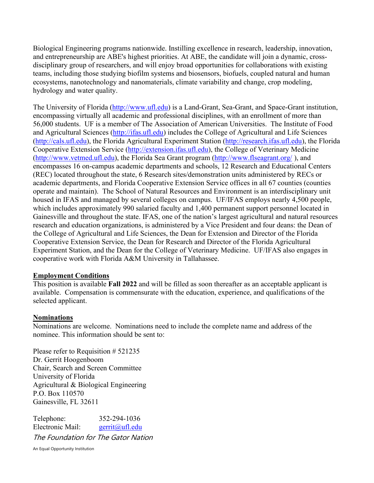Biological Engineering programs nationwide. Instilling excellence in research, leadership, innovation, and entrepreneurship are ABE's highest priorities. At ABE, the candidate will join a dynamic, crossdisciplinary group of researchers, and will enjoy broad opportunities for collaborations with existing teams, including those studying biofilm systems and biosensors, biofuels, coupled natural and human ecosystems, nanotechnology and nanomaterials, climate variability and change, crop modeling, hydrology and water quality.

The University of Florida [\(http://www.ufl.edu\)](http://www.ufl.edu/) is a Land-Grant, Sea-Grant, and Space-Grant institution, encompassing virtually all academic and professional disciplines, with an enrollment of more than 56,000 students. UF is a member of The Association of American Universities. The Institute of Food and Agricultural Sciences [\(http://ifas.ufl.edu\)](http://ifas.ufl.edu/) includes the College of Agricultural and Life Sciences [\(http://cals.ufl.edu\)](http://cals.ufl.edu/), the Florida Agricultural Experiment Station [\(http://research.ifas.ufl.edu\)](http://research.ifas.ufl.edu/), the Florida Cooperative Extension Service [\(http://extension.ifas.ufl.edu\)](http://extension.ifas.ufl.edu/), the College of Veterinary Medicine [\(http://www.vetmed.ufl.edu\)](http://www.vetmed.ufl.edu/), the Florida Sea Grant program [\(http://www.flseagrant.org/](http://www.flseagrant.org/)), and encompasses 16 on-campus academic departments and schools, 12 Research and Educational Centers (REC) located throughout the state, 6 Research sites/demonstration units administered by RECs or academic departments, and Florida Cooperative Extension Service offices in all 67 counties (counties operate and maintain). The School of Natural Resources and Environment is an interdisciplinary unit housed in IFAS and managed by several colleges on campus. UF/IFAS employs nearly 4,500 people, which includes approximately 990 salaried faculty and 1,400 permanent support personnel located in Gainesville and throughout the state. IFAS, one of the nation's largest agricultural and natural resources research and education organizations, is administered by a Vice President and four deans: the Dean of the College of Agricultural and Life Sciences, the Dean for Extension and Director of the Florida Cooperative Extension Service, the Dean for Research and Director of the Florida Agricultural Experiment Station, and the Dean for the College of Veterinary Medicine. UF/IFAS also engages in cooperative work with Florida A&M University in Tallahassee.

#### **Employment Conditions**

This position is available **Fall 2022** and will be filled as soon thereafter as an acceptable applicant is available. Compensation is commensurate with the education, experience, and qualifications of the selected applicant.

#### **Nominations**

Nominations are welcome. Nominations need to include the complete name and address of the nominee. This information should be sent to:

Please refer to Requisition # 521235 Dr. Gerrit Hoogenboom Chair, Search and Screen Committee University of Florida Agricultural & Biological Engineering P.O. Box 110570 Gainesville, FL 32611

The Foundation for The Gator Nation Telephone: 352-294-1036 Electronic Mail: gerrit@ufl.edu